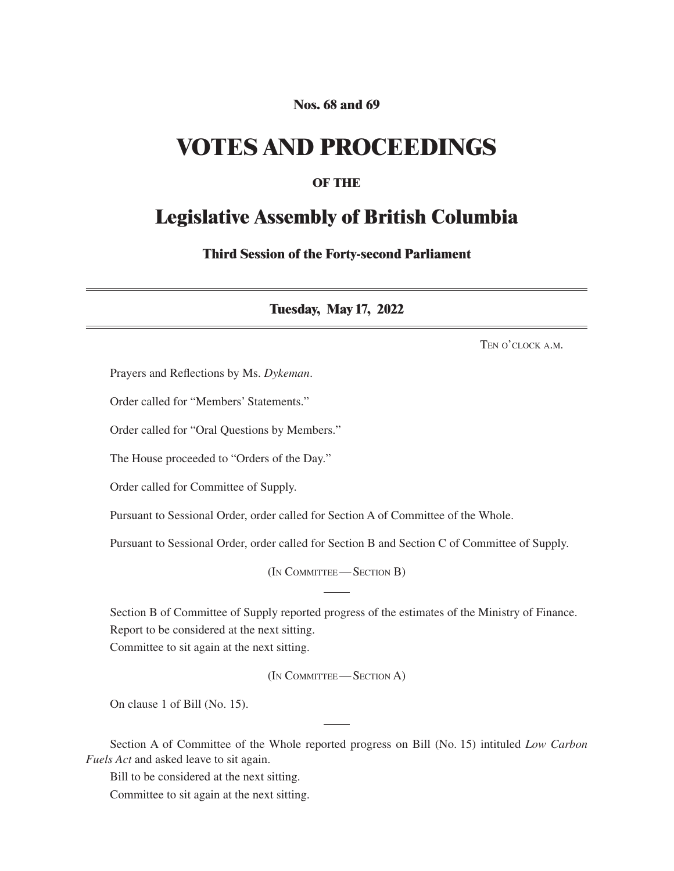## **Nos. 68 and 69**

## **VOTES AND PROCEEDINGS**

## **OF THE**

## **Legislative Assembly of British Columbia**

**Third Session of the Forty-second Parliament**

**Tuesday, May 17, 2022**

Ten o'clock a.m.

Prayers and Reflections by Ms. *Dykeman*.

Order called for "Members' Statements."

Order called for "Oral Questions by Members."

The House proceeded to "Orders of the Day."

Order called for Committee of Supply.

Pursuant to Sessional Order, order called for Section A of Committee of the Whole.

Pursuant to Sessional Order, order called for Section B and Section C of Committee of Supply.

(In Committee—Section B)

Section B of Committee of Supply reported progress of the estimates of the Ministry of Finance. Report to be considered at the next sitting.

Committee to sit again at the next sitting.

(In Committee—Section A)

On clause 1 of Bill (No. 15).

Section A of Committee of the Whole reported progress on Bill (No. 15) intituled *Low Carbon Fuels Act* and asked leave to sit again.

Bill to be considered at the next sitting. Committee to sit again at the next sitting.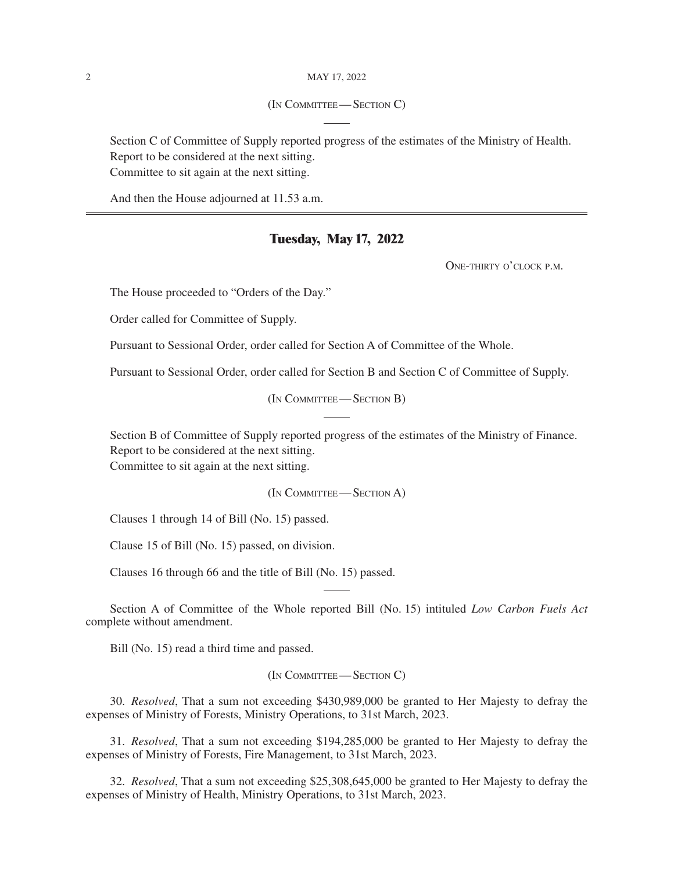(In Committee—Section C)

Section C of Committee of Supply reported progress of the estimates of the Ministry of Health. Report to be considered at the next sitting. Committee to sit again at the next sitting.

And then the House adjourned at 11.53 a.m.

### **Tuesday, May 17, 2022**

One-thirty o'clock p.m.

The House proceeded to "Orders of the Day."

Order called for Committee of Supply.

Pursuant to Sessional Order, order called for Section A of Committee of the Whole.

Pursuant to Sessional Order, order called for Section B and Section C of Committee of Supply.

(In Committee—Section B)

Section B of Committee of Supply reported progress of the estimates of the Ministry of Finance. Report to be considered at the next sitting. Committee to sit again at the next sitting.

(In Committee—Section A)

Clauses 1 through 14 of Bill (No. 15) passed.

Clause 15 of Bill (No. 15) passed, on division.

Clauses 16 through 66 and the title of Bill (No. 15) passed.

Section A of Committee of the Whole reported Bill (No. 15) intituled *Low Carbon Fuels Act* complete without amendment.

Bill (No. 15) read a third time and passed.

(In Committee—Section C)

30. *Resolved*, That a sum not exceeding \$430,989,000 be granted to Her Majesty to defray the expenses of Ministry of Forests, Ministry Operations, to 31st March, 2023.

31. *Resolved*, That a sum not exceeding \$194,285,000 be granted to Her Majesty to defray the expenses of Ministry of Forests, Fire Management, to 31st March, 2023.

32. *Resolved*, That a sum not exceeding \$25,308,645,000 be granted to Her Majesty to defray the expenses of Ministry of Health, Ministry Operations, to 31st March, 2023.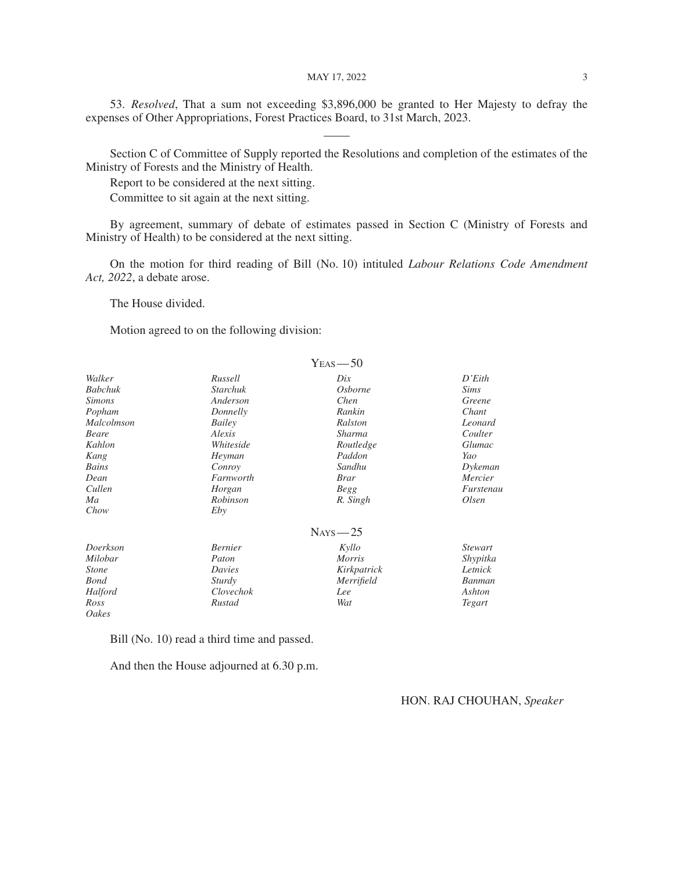MAY 17, 2022 3

53. *Resolved*, That a sum not exceeding \$3,896,000 be granted to Her Majesty to defray the expenses of Other Appropriations, Forest Practices Board, to 31st March, 2023.

Section C of Committee of Supply reported the Resolutions and completion of the estimates of the Ministry of Forests and the Ministry of Health.

Report to be considered at the next sitting.

Committee to sit again at the next sitting.

By agreement, summary of debate of estimates passed in Section C (Ministry of Forests and Ministry of Health) to be considered at the next sitting.

On the motion for third reading of Bill (No. 10) intituled *Labour Relations Code Amendment Act, 2022*, a debate arose.

The House divided.

Motion agreed to on the following division:

|                |                 | $YEAS$ -50      |                |
|----------------|-----------------|-----------------|----------------|
| Walker         | Russell         | $_{\text{Dix}}$ | D'Eith         |
| <b>Babchuk</b> | <b>Starchuk</b> | <i>Osborne</i>  | <i>Sims</i>    |
| <i>Simons</i>  | Anderson        | Chen            | Greene         |
| Popham         | Donnelly        | Rankin          | Chant          |
| Malcolmson     | Bailey          | Ralston         | Leonard        |
| Beare          | Alexis          | Sharma          | Coulter        |
| Kahlon         | Whiteside       | Routledge       | Glumac         |
| Kang           | Heyman          | Paddon          | Yao            |
| Bains          | Conroy          | Sandhu          | Dykeman        |
| Dean           | Farnworth       | Brar            | Mercier        |
| Cullen         | Horgan          | <b>Begg</b>     | Furstenau      |
| Ma             | Robinson        | R. Singh        | Olsen          |
| Chow           | Eby             |                 |                |
|                |                 | $N_{AYS}$ - 25  |                |
| Doerkson       | <b>Bernier</b>  | Kyllo           | <i>Stewart</i> |
| Milobar        | Paton           | <i>Morris</i>   | Shypitka       |
| <i>Stone</i>   | Davies          | Kirkpatrick     | Letnick        |
| <b>Bond</b>    | Sturdy          | Merrifield      | Banman         |
| Halford        | Clovechok       | Lee             | Ashton         |
| Ross           | Rustad          | Wat             | Tegart         |
| Oakes          |                 |                 |                |

Bill (No. 10) read a third time and passed.

And then the House adjourned at 6.30 p.m.

#### HON. RAJ CHOUHAN, *Speaker*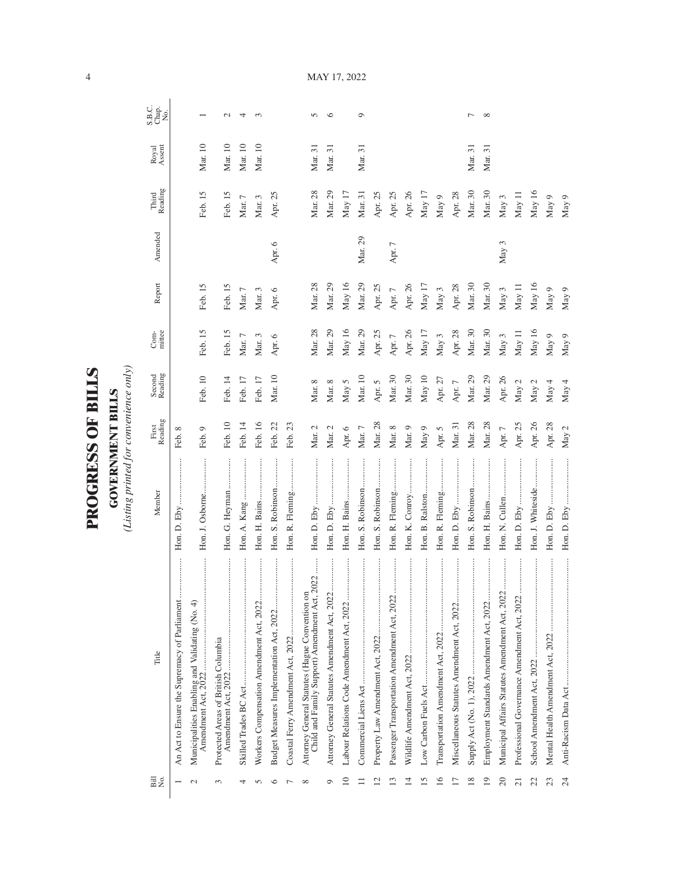| )<br>ו       |
|--------------|
| $\mathbf{r}$ |
|              |
|              |
| ו<br>}       |
|              |
| くくしょ         |
|              |
|              |
| ſ<br>7       |
|              |
|              |
|              |
|              |

**GOVERNMENT BILLS**<br>(Listing printed for convenience only) *(Listing printed for convenience only)*

**GOVERNMENT BILLS**

| Bill<br>No.    | Title                                                                                                  | Member            | First<br>Reading | Second<br>Reading | $Com-$     | Report     | Amended | Reading<br>Third | Royal<br>Assent | S.B.C.<br>Chap.<br>No. |
|----------------|--------------------------------------------------------------------------------------------------------|-------------------|------------------|-------------------|------------|------------|---------|------------------|-----------------|------------------------|
|                | An Act to Ensure the Supremacy of Parliament                                                           | Hon. D. Eby       | Feb. 8           |                   |            |            |         |                  |                 |                        |
|                | .<br>Municipalities Enabling and Validating (No. 4)<br>Amendment Act, 2022                             | Hon. J. Osborne   | Feb. 9           | Feb. 10           | Feb. 15    | Feb. 15    |         | Feb. 15          | Mar. 10         |                        |
| $\sim$         | Protected Areas of British Columbia                                                                    | Hon. G. Heyman    | Feb. 10          | Feb. 14           | Feb. 15    | Feb. 15    |         | Feb. 15          | Mar. 10         | $\mathbf{C}$           |
|                |                                                                                                        |                   | Feb. 14          | Feb. 17           | Mar. $7\,$ | Mar. $7\,$ |         | Mar. $7\,$       | Mar. 10         | 4                      |
| n              |                                                                                                        | Hon. H. Bains     | Feb. 16          | Feb. 17           | Mar. $3$   | Mar. 3     |         | Mar. 3           | Mar. 10         | $\sim$                 |
| ∽              | <br>Budget Measures Implementation Act, 2022                                                           | Hon. S. Robinson  | Feb. 22          | Mar. 10           | Apr. 6     | Apr. 6     | Apr. 6  | Apr. 25          |                 |                        |
|                |                                                                                                        | Hon. R. Fleming   | Feb. 23          |                   |            |            |         |                  |                 |                        |
| $\infty$       | $022$<br>Child and Family Support) Amendment Act, 20<br>Attorney General Statutes (Hague Convention on |                   | Mar. 2           | Mar. 8            | Mar. 28    | Mar. 28    |         | Mar. 28          | Mar. 31         | S                      |
| $\circ$        |                                                                                                        |                   | Mar. 2           | Mar. 8            | Mar. 29    | Mar. 29    |         | Mar. 29          | Mar. 31         | $\circ$                |
| $\approx$      |                                                                                                        | Hon. H. Bains     | Apr. 6           | May 5             | May $16$   | May 16     |         | May 17           |                 |                        |
|                |                                                                                                        | Hon. S. Robinson  | $\rm{Mar.}$ 7    | Mar. 10           | Mar. 29    | Mar. 29    | Mar. 29 | Mar. 31          | Mar. 31         | $\circ$                |
|                |                                                                                                        | Hon. S. Robinson  | Mar. 28          | Apr. 5            | Apr. 25    | Apr. 25    |         | Apr. 25          |                 |                        |
| $\mathbf{1}3$  |                                                                                                        | Hon. R. Fleming   | Mar. 8           | Mar. 30           | Apr. $7$   | Apr. $7\,$ | Apr. 7  | Apr. 25          |                 |                        |
| $\overline{1}$ |                                                                                                        | Hon. K. Conroy    | Mar. 9           | Mar. 30           | Apr. 26    | Apr. 26    |         | Apr. 26          |                 |                        |
| 51             |                                                                                                        |                   | May $9$          | May $10$          | May 17     | May $17$   |         | May 17           |                 |                        |
| 16             |                                                                                                        | Hon. R. Fleming   | Apr. 5           | Apr. $27$         | May $3$    | May 3      |         | May 9            |                 |                        |
| $\overline{1}$ | <br>Miscellaneous Statutes Amendment Act, 2022                                                         | <br>Hon. D. Eby   | Mar. 31          | Apr. $7$          | Apr. 28    | Apr. 28    |         | Apr. 28          |                 |                        |
| 18             |                                                                                                        | Hon. S. Robinson  | Mar. 28          | Mar. 29           | Mar. 30    | Mar. 30    |         | Mar. 30          | Mar. 31         | ∼                      |
| 19             | <br>Employment Standards Amendment Act, 2022                                                           |                   | Mar. 28          | Mar. 29           | Mar. 30    | Mar. 30    |         | Mar. 30          | Mar. 31         | $\infty$               |
| 20             | <br>Municipal Affairs Statutes Amendment Act, 2022                                                     |                   | Apr. $7$         | Apr. 26           | May $3$    | May 3      | May 3   | May 3            |                 |                        |
| $\overline{c}$ | Professional Governance Amendment Act, 2022                                                            |                   | Apr. 25          | May $2$           | May 11     | May 11     |         | May 11           |                 |                        |
| 22             |                                                                                                        | Hon. J. Whiteside | Apr. 26          | May $2$           | May $16$   | May 16     |         | May $16$         |                 |                        |
| 23             | $\vdots$<br>Mental Health Amendment Act, 2022                                                          | Hon. D. Eby       | Apr. 28          | May 4             | May $9$    | May 9      |         | May 9            |                 |                        |
| 24             | Anti-Racism Data Act                                                                                   |                   | May 2            | May 4             | May 9      | May 9      |         | May 9            |                 |                        |

MAY 17, 2022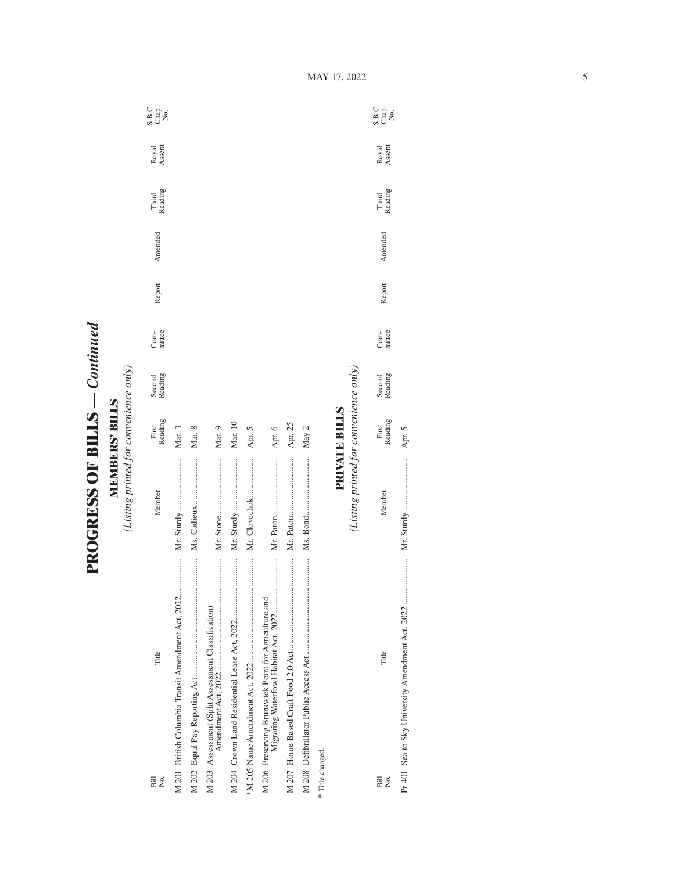**PROGRESS OF BILLS - Continued PROGRESS OF BILLS** *— Continued*

**MEMBERS' BILLS**<br>(Listing printed for convenience only) *(Listing printed for convenience only)* **MEMBERS' BILLS**

| Σó,<br>Bill               | Title                                                | Member                                 | Reading<br>First     | Second<br>Reading | mittee<br>Com- | Report | Amended | Reading<br>Third | Royal<br>Assent | S.B.c.<br>S.B.c.<br>No.    |
|---------------------------|------------------------------------------------------|----------------------------------------|----------------------|-------------------|----------------|--------|---------|------------------|-----------------|----------------------------|
|                           | M 201 British Columbia Transit Amendment Act, 2022   |                                        | Mar.3                |                   |                |        |         |                  |                 |                            |
|                           |                                                      |                                        | Mar. 8               |                   |                |        |         |                  |                 |                            |
|                           | M 203 Assessment (Split Assessment Classification)   |                                        | Mar. 9               |                   |                |        |         |                  |                 |                            |
|                           |                                                      |                                        | Mar. 10              |                   |                |        |         |                  |                 |                            |
|                           |                                                      | Mr. Clovechok                          | Apr. 5               |                   |                |        |         |                  |                 |                            |
|                           | M 206 Preserving Brunswick Point for Agriculture and |                                        | Apr. 6               |                   |                |        |         |                  |                 |                            |
|                           |                                                      |                                        | Apr. 25              |                   |                |        |         |                  |                 |                            |
|                           |                                                      |                                        | May 2                |                   |                |        |         |                  |                 |                            |
| * Title changed.          |                                                      |                                        |                      |                   |                |        |         |                  |                 |                            |
|                           |                                                      |                                        | <b>PRIVATE BILLS</b> |                   |                |        |         |                  |                 |                            |
|                           |                                                      | (Listing printed for convenience only) |                      |                   |                |        |         |                  |                 |                            |
| $\overline{B}$ ill<br>Σó, | Title                                                | Member                                 | Reading<br>First     | Second<br>Reading | mittee<br>Com- | Report | Amended | Third<br>Reading | Assent<br>Royal | C.<br>S.B.<br>X.B.<br>X.B. |

Pr 401 Sea to Sky University Amendment Act, 2022 ..................... Mr. Sturdy ........................ Apr. 5